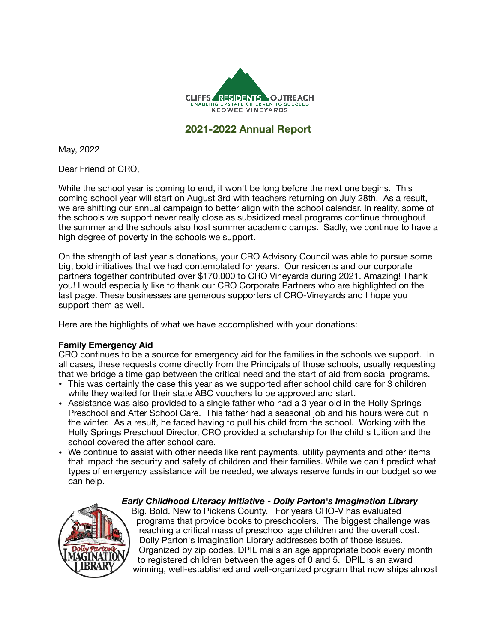

# **2021-2022 Annual Report**

May, 2022

Dear Friend of CRO,

While the school year is coming to end, it won't be long before the next one begins. This coming school year will start on August 3rd with teachers returning on July 28th. As a result, we are shifting our annual campaign to better align with the school calendar. In reality, some of the schools we support never really close as subsidized meal programs continue throughout the summer and the schools also host summer academic camps. Sadly, we continue to have a high degree of poverty in the schools we support.

On the strength of last year's donations, your CRO Advisory Council was able to pursue some big, bold initiatives that we had contemplated for years. Our residents and our corporate partners together contributed over \$170,000 to CRO Vineyards during 2021. Amazing! Thank you! I would especially like to thank our CRO Corporate Partners who are highlighted on the last page. These businesses are generous supporters of CRO-Vineyards and I hope you support them as well.

Here are the highlights of what we have accomplished with your donations:

## **Family Emergency Aid**

CRO continues to be a source for emergency aid for the families in the schools we support. In all cases, these requests come directly from the Principals of those schools, usually requesting that we bridge a time gap between the critical need and the start of aid from social programs.

- This was certainly the case this year as we supported after school child care for 3 children while they waited for their state ABC vouchers to be approved and start.
- Assistance was also provided to a single father who had a 3 year old in the Holly Springs Preschool and After School Care. This father had a seasonal job and his hours were cut in the winter. As a result, he faced having to pull his child from the school. Working with the Holly Springs Preschool Director, CRO provided a scholarship for the child's tuition and the school covered the after school care.
- We continue to assist with other needs like rent payments, utility payments and other items that impact the security and safety of children and their families. While we can't predict what types of emergency assistance will be needed, we always reserve funds in our budget so we can help.

## *Early Childhood Literacy Initiative - Dolly Parton's Imagination Library*



Big. Bold. New to Pickens County. For years CRO-V has evaluated programs that provide books to preschoolers. The biggest challenge was reaching a critical mass of preschool age children and the overall cost. Dolly Parton's Imagination Library addresses both of those issues. Organized by zip codes, DPIL mails an age appropriate book every month to registered children between the ages of 0 and 5. DPIL is an award winning, well-established and well-organized program that now ships almost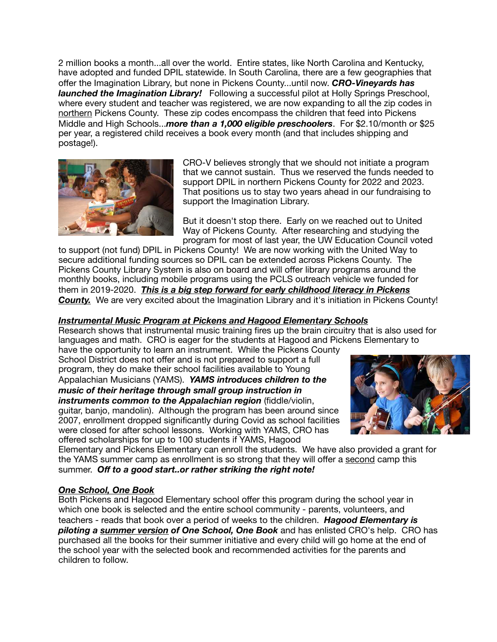2 million books a month...all over the world. Entire states, like North Carolina and Kentucky, have adopted and funded DPIL statewide. In South Carolina, there are a few geographies that offer the Imagination Library, but none in Pickens County...until now. *CRO-Vineyards has launched the Imagination Library!* Following a successful pilot at Holly Springs Preschool, where every student and teacher was registered, we are now expanding to all the zip codes in northern Pickens County. These zip codes encompass the children that feed into Pickens Middle and High Schools...*more than a 1,000 eligible preschoolers*. For \$2.10/month or \$25 per year, a registered child receives a book every month (and that includes shipping and postage!).



CRO-V believes strongly that we should not initiate a program that we cannot sustain. Thus we reserved the funds needed to support DPIL in northern Pickens County for 2022 and 2023. That positions us to stay two years ahead in our fundraising to support the Imagination Library.

But it doesn't stop there. Early on we reached out to United Way of Pickens County. After researching and studying the program for most of last year, the UW Education Council voted

to support (not fund) DPIL in Pickens County! We are now working with the United Way to secure additional funding sources so DPIL can be extended across Pickens County. The Pickens County Library System is also on board and will offer library programs around the monthly books, including mobile programs using the PCLS outreach vehicle we funded for them in 2019-2020. *This is a big step forward for early childhood literacy in Pickens*  **County.** We are very excited about the Imagination Library and it's initiation in Pickens County!

# *Instrumental Music Program at Pickens and Hagood Elementary Schools*

Research shows that instrumental music training fires up the brain circuitry that is also used for languages and math. CRO is eager for the students at Hagood and Pickens Elementary to

have the opportunity to learn an instrument. While the Pickens County School District does not offer and is not prepared to support a full program, they do make their school facilities available to Young Appalachian Musicians (YAMS). *YAMS introduces children to the music of their heritage through small group instruction in instruments common to the Appalachian region* (fiddle/violin, guitar, banjo, mandolin). Although the program has been around since 2007, enrollment dropped significantly during Covid as school facilities were closed for after school lessons. Working with YAMS, CRO has offered scholarships for up to 100 students if YAMS, Hagood



Elementary and Pickens Elementary can enroll the students. We have also provided a grant for the YAMS summer camp as enrollment is so strong that they will offer a second camp this summer. *Off to a good start..or rather striking the right note!* 

## *One School, One Book*

Both Pickens and Hagood Elementary school offer this program during the school year in which one book is selected and the entire school community - parents, volunteers, and teachers - reads that book over a period of weeks to the children. *Hagood Elementary is piloting a summer version of One School, One Book* and has enlisted CRO's help. CRO has purchased all the books for their summer initiative and every child will go home at the end of the school year with the selected book and recommended activities for the parents and children to follow.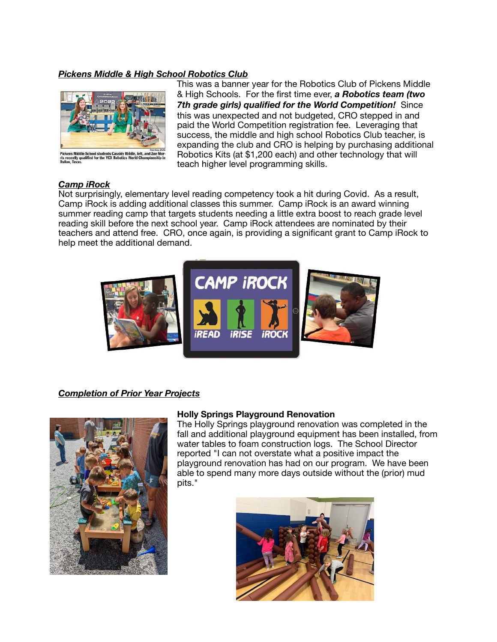## *Pickens Middle & High School Robotics Club*



ens Middle School students Cassidy Riddle,<br>ecently qualified for the VEX Robotics World<br>is, Texas.

This was a banner year for the Robotics Club of Pickens Middle & High Schools. For the first time ever, *a Robotics team (two 7th grade girls) qualified for the World Competition!* Since this was unexpected and not budgeted, CRO stepped in and paid the World Competition registration fee. Leveraging that success, the middle and high school Robotics Club teacher, is expanding the club and CRO is helping by purchasing additional Robotics Kits (at \$1,200 each) and other technology that will teach higher level programming skills.

#### *Camp iRock*

Not surprisingly, elementary level reading competency took a hit during Covid. As a result, Camp iRock is adding additional classes this summer. Camp iRock is an award winning summer reading camp that targets students needing a little extra boost to reach grade level reading skill before the next school year. Camp iRock attendees are nominated by their teachers and attend free. CRO, once again, is providing a significant grant to Camp iRock to help meet the additional demand.



## *Completion of Prior Year Projects*



#### **Holly Springs Playground Renovation**

The Holly Springs playground renovation was completed in the fall and additional playground equipment has been installed, from water tables to foam construction logs. The School Director reported "I can not overstate what a positive impact the playground renovation has had on our program. We have been able to spend many more days outside without the (prior) mud pits."

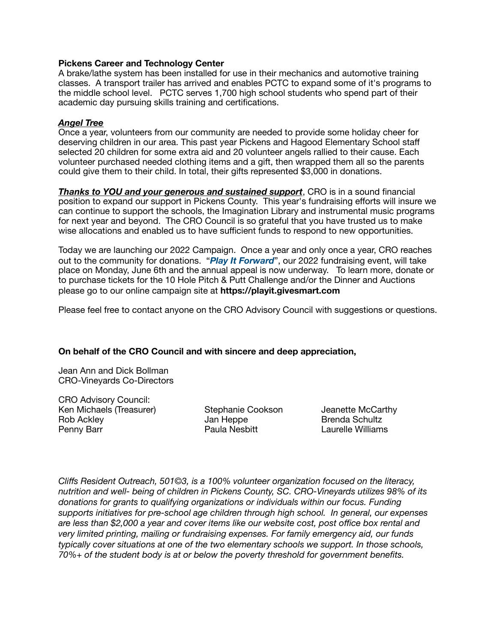#### **Pickens Career and Technology Center**

A brake/lathe system has been installed for use in their mechanics and automotive training classes. A transport trailer has arrived and enables PCTC to expand some of it's programs to the middle school level. PCTC serves 1,700 high school students who spend part of their academic day pursuing skills training and certifications.

#### *Angel Tree*

Once a year, volunteers from our community are needed to provide some holiday cheer for deserving children in our area. This past year Pickens and Hagood Elementary School staff selected 20 children for some extra aid and 20 volunteer angels rallied to their cause. Each volunteer purchased needed clothing items and a gift, then wrapped them all so the parents could give them to their child. In total, their gifts represented \$3,000 in donations.

*Thanks to YOU and your generous and sustained support*, CRO is in a sound financial position to expand our support in Pickens County. This year's fundraising efforts will insure we can continue to support the schools, the Imagination Library and instrumental music programs for next year and beyond. The CRO Council is so grateful that you have trusted us to make wise allocations and enabled us to have sufficient funds to respond to new opportunities.

Today we are launching our 2022 Campaign. Once a year and only once a year, CRO reaches out to the community for donations. "*Play It Forward*", our 2022 fundraising event, will take place on Monday, June 6th and the annual appeal is now underway. To learn more, donate or to purchase tickets for the 10 Hole Pitch & Putt Challenge and/or the Dinner and Auctions please go to our online campaign site at **https://playit.givesmart.com**

Please feel free to contact anyone on the CRO Advisory Council with suggestions or questions.

#### **On behalf of the CRO Council and with sincere and deep appreciation,**

Jean Ann and Dick Bollman CRO-Vineyards Co-Directors

CRO Advisory Council:<br>Ken Michaels (Treasurer) Ken Michaels (Treasurer) **Stephanie Cookson** Jeanette McCarthy Rob Ackley Jan Heppe Brenda Schultz Penny Barr **Denny Barr Denny Barr Paula Nesbitt Laurelle Williams** 

*Cliffs Resident Outreach, 501©3, is a 100% volunteer organization focused on the literacy, nutrition and well- being of children in Pickens County, SC. CRO-Vineyards utilizes 98% of its donations for grants to qualifying organizations or individuals within our focus. Funding supports initiatives for pre-school age children through high school. In general, our expenses are less than \$2,000 a year and cover items like our website cost, post office box rental and very limited printing, mailing or fundraising expenses. For family emergency aid, our funds typically cover situations at one of the two elementary schools we support. In those schools, 70%+ of the student body is at or below the poverty threshold for government benefits.*